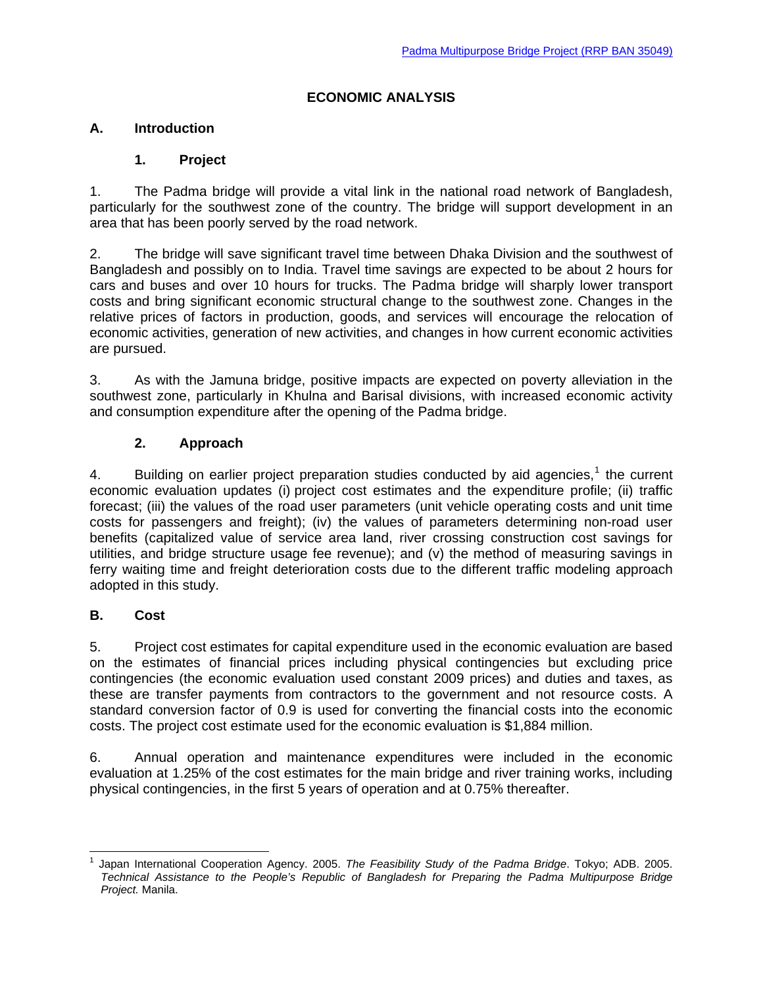## **ECONOMIC ANALYSIS**

## **A. Introduction**

## **1. Project**

1. The Padma bridge will provide a vital link in the national road network of Bangladesh, particularly for the southwest zone of the country. The bridge will support development in an area that has been poorly served by the road network.

2. The bridge will save significant travel time between Dhaka Division and the southwest of Bangladesh and possibly on to India. Travel time savings are expected to be about 2 hours for cars and buses and over 10 hours for trucks. The Padma bridge will sharply lower transport costs and bring significant economic structural change to the southwest zone. Changes in the relative prices of factors in production, goods, and services will encourage the relocation of economic activities, generation of new activities, and changes in how current economic activities are pursued.

3. As with the Jamuna bridge, positive impacts are expected on poverty alleviation in the southwest zone, particularly in Khulna and Barisal divisions, with increased economic activity and consumption expenditure after the opening of the Padma bridge.

## **2. Approach**

4. Building on earlier project preparation studies conducted by aid agencies, $1$  the current economic evaluation updates (i) project cost estimates and the expenditure profile; (ii) traffic forecast; (iii) the values of the road user parameters (unit vehicle operating costs and unit time costs for passengers and freight); (iv) the values of parameters determining non-road user benefits (capitalized value of service area land, river crossing construction cost savings for utilities, and bridge structure usage fee revenue); and (v) the method of measuring savings in ferry waiting time and freight deterioration costs due to the different traffic modeling approach adopted in this study.

## **B. Cost**

5. Project cost estimates for capital expenditure used in the economic evaluation are based on the estimates of financial prices including physical contingencies but excluding price contingencies (the economic evaluation used constant 2009 prices) and duties and taxes, as these are transfer payments from contractors to the government and not resource costs. A standard conversion factor of 0.9 is used for converting the financial costs into the economic costs. The project cost estimate used for the economic evaluation is \$1,884 million.

6. Annual operation and maintenance expenditures were included in the economic evaluation at 1.25% of the cost estimates for the main bridge and river training works, including physical contingencies, in the first 5 years of operation and at 0.75% thereafter.

<span id="page-0-0"></span><sup>-</sup>1 Japan International Cooperation Agency. 2005. *The Feasibility Study of the Padma Bridge*. Tokyo; ADB. 2005. *Technical Assistance to the People's Republic of Bangladesh for Preparing the Padma Multipurpose Bridge Project.* Manila.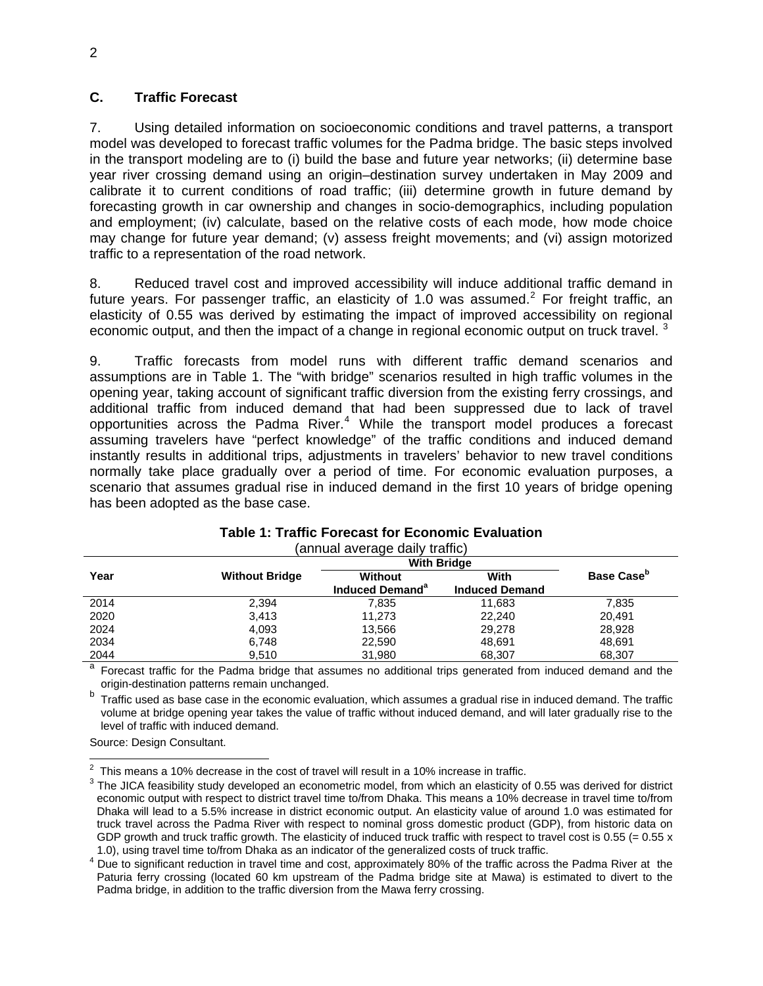## **C. Traffic Forecast**

7. Using detailed information on socioeconomic conditions and travel patterns, a transport model was developed to forecast traffic volumes for the Padma bridge. The basic steps involved in the transport modeling are to (i) build the base and future year networks; (ii) determine base year river crossing demand using an origin–destination survey undertaken in May 2009 and calibrate it to current conditions of road traffic; (iii) determine growth in future demand by forecasting growth in car ownership and changes in socio-demographics, including population and employment; (iv) calculate, based on the relative costs of each mode, how mode choice may change for future year demand; (v) assess freight movements; and (vi) assign motorized traffic to a representation of the road network.

8. Reduced travel cost and improved accessibility will induce additional traffic demand in future years. For passenger traffic, an elasticity of 1.0 was assumed.<sup>[2](#page-1-0)</sup> For freight traffic, an elasticity of 0.55 was derived by estimating the impact of improved accessibility on regional economic output, and then the impact of a change in regional economic output on truck travel.<sup>[3](#page-1-1)</sup>

9. Traffic forecasts from model runs with different traffic demand scenarios and assumptions are in Table 1. The "with bridge" scenarios resulted in high traffic volumes in the opening year, taking account of significant traffic diversion from the existing ferry crossings, and additional traffic from induced demand that had been suppressed due to lack of travel opportunities across the Padma River. $4$  While the transport model produces a forecast assuming travelers have "perfect knowledge" of the traffic conditions and induced demand instantly results in additional trips, adjustments in travelers' behavior to new travel conditions normally take place gradually over a period of time. For economic evaluation purposes, a scenario that assumes gradual rise in induced demand in the first 10 years of bridge opening has been adopted as the base case.

| .    |                       |                             |                       |                               |  |  |
|------|-----------------------|-----------------------------|-----------------------|-------------------------------|--|--|
|      |                       | <b>With Bridge</b>          |                       |                               |  |  |
| Year | <b>Without Bridge</b> | <b>Without</b>              | With                  | <b>Base Case</b> <sup>p</sup> |  |  |
|      |                       | Induced Demand <sup>a</sup> | <b>Induced Demand</b> |                               |  |  |
| 2014 | 2,394                 | 7,835                       | 11.683                | 7,835                         |  |  |
| 2020 | 3.413                 | 11.273                      | 22.240                | 20.491                        |  |  |
| 2024 | 4,093                 | 13,566                      | 29,278                | 28,928                        |  |  |
| 2034 | 6,748                 | 22,590                      | 48,691                | 48,691                        |  |  |
| 2044 | 9.510                 | 31.980                      | 68,307                | 68,307                        |  |  |

#### **Table 1: Traffic Forecast for Economic Evaluation**  (annual average daily traffic)

Forecast traffic for the Padma bridge that assumes no additional trips generated from induced demand and the origin-destination patterns remain unchanged.

b Traffic used as base case in the economic evaluation, which assumes a gradual rise in induced demand. The traffic volume at bridge opening year takes the value of traffic without induced demand, and will later gradually rise to the level of traffic with induced demand.

Source: Design Consultant.

 $\frac{1}{2}$ This means a 10% decrease in the cost of travel will result in a 10% increase in traffic. 3

<span id="page-1-1"></span><span id="page-1-0"></span> $3$  The JICA feasibility study developed an econometric model, from which an elasticity of 0.55 was derived for district economic output with respect to district travel time to/from Dhaka. This means a 10% decrease in travel time to/from Dhaka will lead to a 5.5% increase in district economic output. An elasticity value of around 1.0 was estimated for truck travel across the Padma River with respect to nominal gross domestic product (GDP), from historic data on GDP growth and truck traffic growth. The elasticity of induced truck traffic with respect to travel cost is 0.55 (=  $0.55 x$ ) 1.0), using travel time to/from Dhaka as an indicator of the generalized costs of truck traffic.

<span id="page-1-2"></span><sup>&</sup>lt;sup>4</sup> Due to significant reduction in travel time and cost, approximately 80% of the traffic across the Padma River at the Paturia ferry crossing (located 60 km upstream of the Padma bridge site at Mawa) is estimated to divert to the Padma bridge, in addition to the traffic diversion from the Mawa ferry crossing.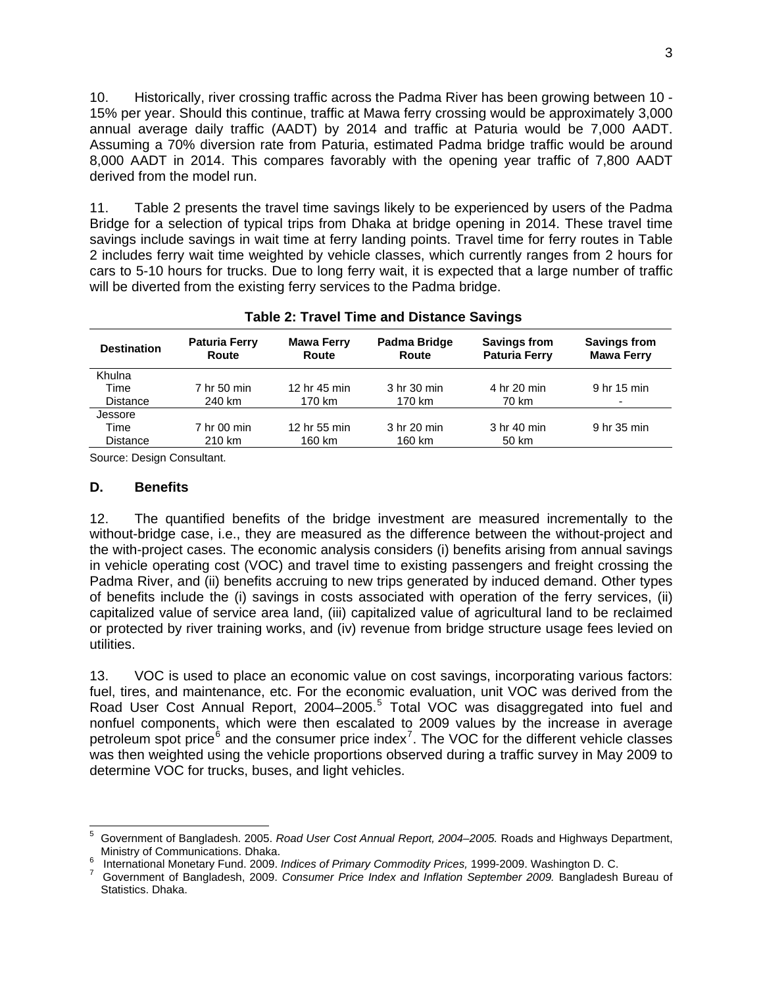10. Historically, river crossing traffic across the Padma River has been growing between 10 - 15% per year. Should this continue, traffic at Mawa ferry crossing would be approximately 3,000 annual average daily traffic (AADT) by 2014 and traffic at Paturia would be 7,000 AADT. Assuming a 70% diversion rate from Paturia, estimated Padma bridge traffic would be around 8,000 AADT in 2014. This compares favorably with the opening year traffic of 7,800 AADT derived from the model run.

11. Table 2 presents the travel time savings likely to be experienced by users of the Padma Bridge for a selection of typical trips from Dhaka at bridge opening in 2014. These travel time savings include savings in wait time at ferry landing points. Travel time for ferry routes in Table 2 includes ferry wait time weighted by vehicle classes, which currently ranges from 2 hours for cars to 5-10 hours for trucks. Due to long ferry wait, it is expected that a large number of traffic will be diverted from the existing ferry services to the Padma bridge.

| <b>Destination</b> | <b>Paturia Ferry</b><br>Route | <b>Mawa Ferry</b><br>Route | Padma Bridge<br>Route | <b>Savings from</b><br><b>Paturia Ferry</b> | <b>Savings from</b><br><b>Mawa Ferry</b> |  |  |  |
|--------------------|-------------------------------|----------------------------|-----------------------|---------------------------------------------|------------------------------------------|--|--|--|
| Khulna             |                               |                            |                       |                                             |                                          |  |  |  |
| Time               | 7 hr 50 min                   | 12 hr 45 min               | 3 hr 30 min           | 4 hr 20 min                                 | 9 hr 15 min                              |  |  |  |
| <b>Distance</b>    | 240 km                        | 170 km                     | 170 km                | 70 km                                       |                                          |  |  |  |
| Jessore            |                               |                            |                       |                                             |                                          |  |  |  |
| Time               | 7 hr 00 min                   | 12 hr 55 min               | 3 hr 20 min           | 3 hr 40 min                                 | 9 hr 35 min                              |  |  |  |
| <b>Distance</b>    | 210 km                        | 160 km                     | 160 km                | 50 km                                       |                                          |  |  |  |

## **Table 2: Travel Time and Distance Savings**

Source: Design Consultant.

### **D. Benefits**

12. The quantified benefits of the bridge investment are measured incrementally to the without-bridge case, i.e., they are measured as the difference between the without-project and the with-project cases. The economic analysis considers (i) benefits arising from annual savings in vehicle operating cost (VOC) and travel time to existing passengers and freight crossing the Padma River, and (ii) benefits accruing to new trips generated by induced demand. Other types of benefits include the (i) savings in costs associated with operation of the ferry services, (ii) capitalized value of service area land, (iii) capitalized value of agricultural land to be reclaimed or protected by river training works, and (iv) revenue from bridge structure usage fees levied on utilities.

13. VOC is used to place an economic value on cost savings, incorporating various factors: fuel, tires, and maintenance, etc. For the economic evaluation, unit VOC was derived from the Road User Cost Annual Report, 2004–200[5](#page-2-0).<sup>5</sup> Total VOC was disaggregated into fuel and nonfuel components, which were then escalated to 2009 values by the increase in average petroleum spot price<sup>[6](#page-2-1)</sup> and the consumer price index<sup>[7](#page-2-2)</sup>. The VOC for the different vehicle classes was then weighted using the vehicle proportions observed during a traffic survey in May 2009 to determine VOC for trucks, buses, and light vehicles.

<span id="page-2-0"></span> $\overline{a}$ 5 Government of Bangladesh. 2005. *Road User Cost Annual Report, 2004–2005.* Roads and Highways Department, Ministry of Communications. Dhaka.

<span id="page-2-1"></span>International Monetary Fund. 2009. *Indices of Primary Commodity Prices,* 1999-2009. Washington D. C. 7

<span id="page-2-2"></span>Government of Bangladesh, 2009. *Consumer Price Index and Inflation September 2009.* Bangladesh Bureau of Statistics. Dhaka.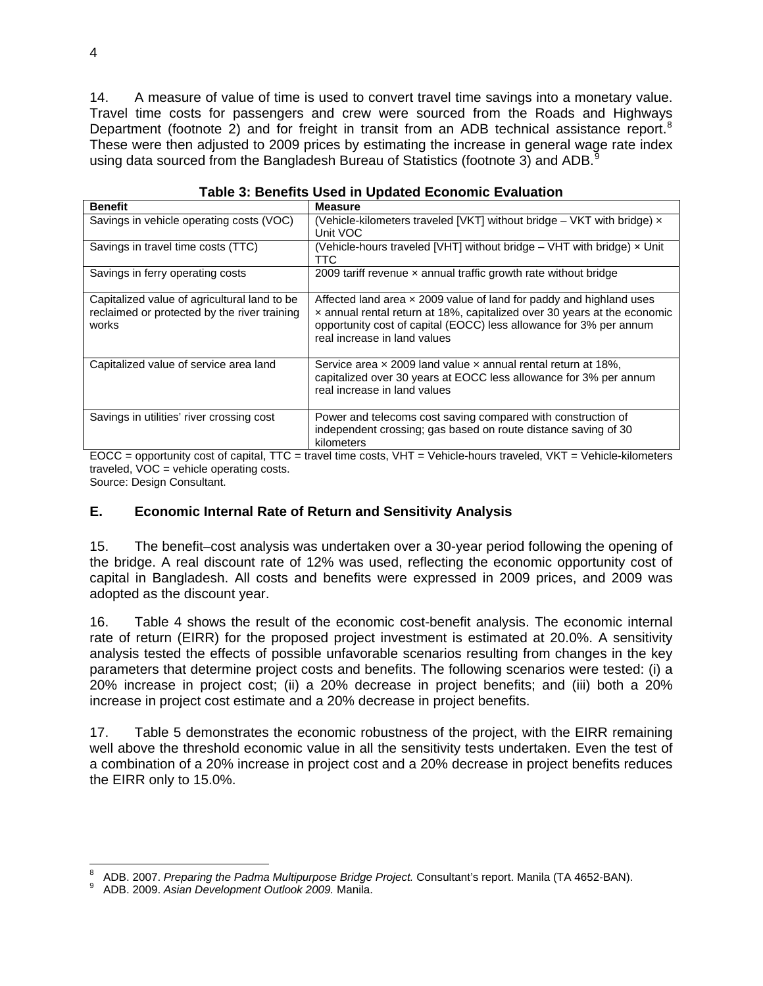14. A measure of value of time is used to convert travel time savings into a monetary value. Travel time costs for passengers and crew were sourced from the Roads and Highways Department (footnote 2) and for freight in transit from an ADB technical assistance report.<sup>[8](#page-3-0)</sup> These were then adjusted to 2009 prices by estimating the increase in general wage rate index using data sourced from the Bangladesh Bureau of Statistics (footnote 3) and ADB. $9$ 

| <b>Benefit</b>                                                                                        | <b>Measure</b>                                                                                                                                                                                                                                               |
|-------------------------------------------------------------------------------------------------------|--------------------------------------------------------------------------------------------------------------------------------------------------------------------------------------------------------------------------------------------------------------|
| Savings in vehicle operating costs (VOC)                                                              | (Vehicle-kilometers traveled [VKT] without bridge $-$ VKT with bridge) $\times$<br>Unit VOC                                                                                                                                                                  |
| Savings in travel time costs (TTC)                                                                    | (Vehicle-hours traveled [VHT] without bridge $-$ VHT with bridge) $\times$ Unit<br>TTC.                                                                                                                                                                      |
| Savings in ferry operating costs                                                                      | 2009 tariff revenue $\times$ annual traffic growth rate without bridge                                                                                                                                                                                       |
| Capitalized value of agricultural land to be<br>reclaimed or protected by the river training<br>works | Affected land area $\times$ 2009 value of land for paddy and highland uses<br>x annual rental return at 18%, capitalized over 30 years at the economic<br>opportunity cost of capital (EOCC) less allowance for 3% per annum<br>real increase in land values |
| Capitalized value of service area land                                                                | Service area $\times$ 2009 land value $\times$ annual rental return at 18%.<br>capitalized over 30 years at EOCC less allowance for 3% per annum<br>real increase in land values                                                                             |
| Savings in utilities' river crossing cost                                                             | Power and telecoms cost saving compared with construction of<br>independent crossing; gas based on route distance saving of 30<br>kilometers                                                                                                                 |

**Table 3: Benefits Used in Updated Economic Evaluation** 

EOCC = opportunity cost of capital, TTC = travel time costs, VHT = Vehicle-hours traveled, VKT = Vehicle-kilometers traveled, VOC = vehicle operating costs. Source: Design Consultant.

**E. Economic Internal Rate of Return and Sensitivity Analysis** 

15. The benefit–cost analysis was undertaken over a 30-year period following the opening of the bridge. A real discount rate of 12% was used, reflecting the economic opportunity cost of capital in Bangladesh. All costs and benefits were expressed in 2009 prices, and 2009 was adopted as the discount year.

16. Table 4 shows the result of the economic cost-benefit analysis. The economic internal rate of return (EIRR) for the proposed project investment is estimated at 20.0%. A sensitivity analysis tested the effects of possible unfavorable scenarios resulting from changes in the key parameters that determine project costs and benefits. The following scenarios were tested: (i) a 20% increase in project cost; (ii) a 20% decrease in project benefits; and (iii) both a 20% increase in project cost estimate and a 20% decrease in project benefits.

17. Table 5 demonstrates the economic robustness of the project, with the EIRR remaining well above the threshold economic value in all the sensitivity tests undertaken. Even the test of a combination of a 20% increase in project cost and a 20% decrease in project benefits reduces the EIRR only to 15.0%.

<span id="page-3-0"></span> 8 ADB. 2007. *Preparing the Padma Multipurpose Bridge Project.* Consultant's report. Manila (TA 4652-BAN). 9

<span id="page-3-1"></span>ADB. 2009. *Asian Development Outlook 2009.* Manila.